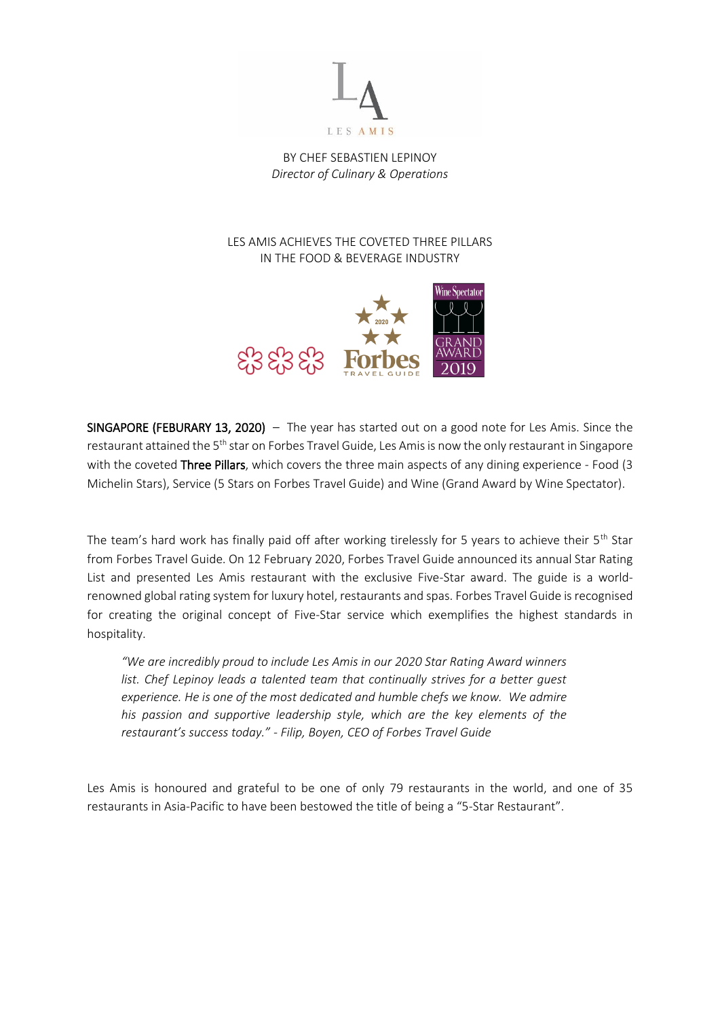

BY CHEF SEBASTIEN LEPINOY *Director of Culinary & Operations*

## LES AMIS ACHIEVES THE COVETED THREE PILLARS IN THE FOOD & BEVERAGE INDUSTRY



SINGAPORE (FEBURARY 13, 2020) – The year has started out on a good note for Les Amis. Since the restaurant attained the 5<sup>th</sup> star on Forbes Travel Guide, Les Amis is now the only restaurant in Singapore with the coveted Three Pillars, which covers the three main aspects of any dining experience - Food (3 Michelin Stars), Service (5 Stars on Forbes Travel Guide) and Wine (Grand Award by Wine Spectator).

The team's hard work has finally paid off after working tirelessly for 5 years to achieve their 5<sup>th</sup> Star from Forbes Travel Guide. On 12 February 2020, Forbes Travel Guide announced its annual Star Rating List and presented Les Amis restaurant with the exclusive Five-Star award. The guide is a worldrenowned global rating system for luxury hotel, restaurants and spas. Forbes Travel Guide is recognised for creating the original concept of Five-Star service which exemplifies the highest standards in hospitality.

*"We are incredibly proud to include Les Amis in our 2020 Star Rating Award winners*  list. Chef Lepinoy leads a talented team that continually strives for a better guest *experience. He is one of the most dedicated and humble chefs we know. We admire his passion and supportive leadership style, which are the key elements of the restaurant's success today." - Filip, Boyen, CEO of Forbes Travel Guide*

Les Amis is honoured and grateful to be one of only 79 restaurants in the world, and one of 35 restaurants in Asia-Pacific to have been bestowed the title of being a "5-Star Restaurant".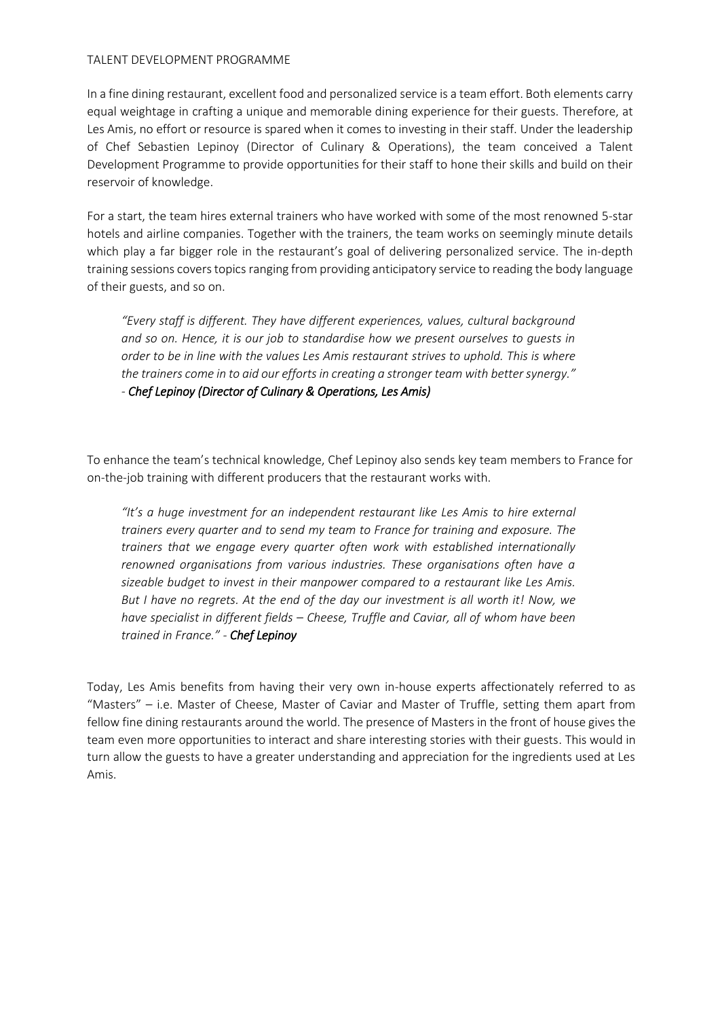## TALENT DEVELOPMENT PROGRAMME

In a fine dining restaurant, excellent food and personalized service is a team effort. Both elements carry equal weightage in crafting a unique and memorable dining experience for their guests. Therefore, at Les Amis, no effort or resource is spared when it comes to investing in their staff. Under the leadership of Chef Sebastien Lepinoy (Director of Culinary & Operations), the team conceived a Talent Development Programme to provide opportunities for their staff to hone their skills and build on their reservoir of knowledge.

For a start, the team hires external trainers who have worked with some of the most renowned 5-star hotels and airline companies. Together with the trainers, the team works on seemingly minute details which play a far bigger role in the restaurant's goal of delivering personalized service. The in-depth training sessions covers topics ranging from providing anticipatory service to reading the body language of their guests, and so on.

*"Every staff is different. They have different experiences, values, cultural background and so on. Hence, it is our job to standardise how we present ourselves to guests in order to be in line with the values Les Amis restaurant strives to uphold. This is where the trainers come in to aid our efforts in creating a stronger team with better synergy." - Chef Lepinoy (Director of Culinary & Operations, Les Amis)*

To enhance the team's technical knowledge, Chef Lepinoy also sends key team members to France for on-the-job training with different producers that the restaurant works with.

*"It's a huge investment for an independent restaurant like Les Amis to hire external trainers every quarter and to send my team to France for training and exposure. The trainers that we engage every quarter often work with established internationally renowned organisations from various industries. These organisations often have a sizeable budget to invest in their manpower compared to a restaurant like Les Amis. But I have no regrets. At the end of the day our investment is all worth it! Now, we have specialist in different fields – Cheese, Truffle and Caviar, all of whom have been trained in France." - Chef Lepinoy*

Today, Les Amis benefits from having their very own in-house experts affectionately referred to as "Masters" – i.e. Master of Cheese, Master of Caviar and Master of Truffle, setting them apart from fellow fine dining restaurants around the world. The presence of Masters in the front of house gives the team even more opportunities to interact and share interesting stories with their guests. This would in turn allow the guests to have a greater understanding and appreciation for the ingredients used at Les Amis.